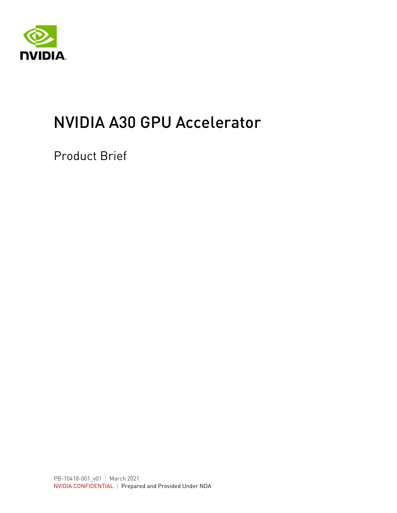

# NVIDIA A30 GPU Accelerator

Product Brief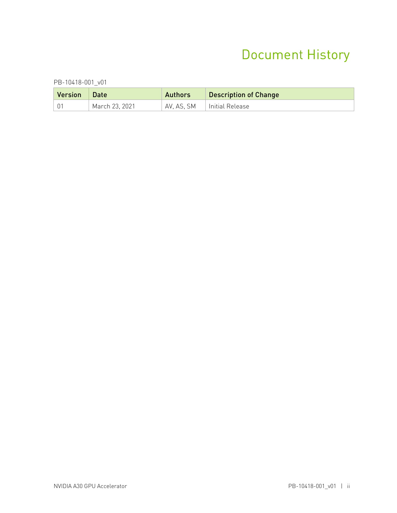### Document History

PB-10418-001\_v01

| Version | Date           | <b>Authors</b> | <b>Description of Change</b> |
|---------|----------------|----------------|------------------------------|
|         | March 23, 2021 |                | AV, AS, SM   Initial Release |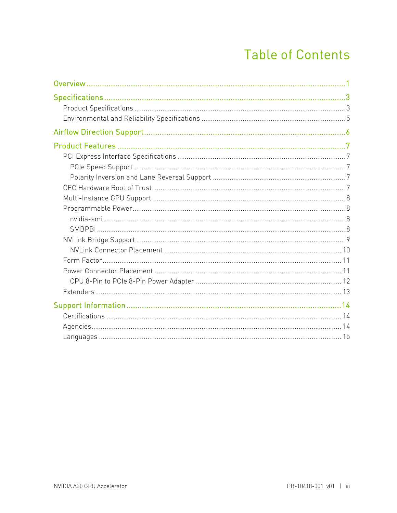### **Table of Contents**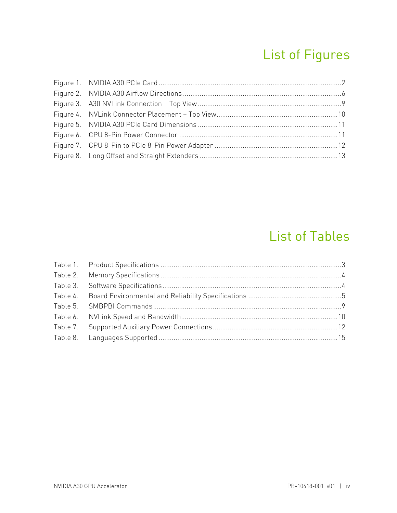## List of Figures

### List of Tables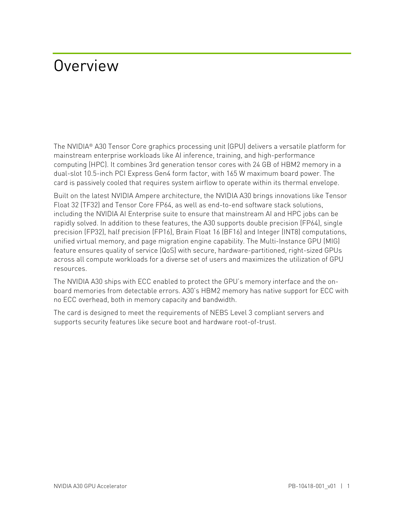## <span id="page-4-0"></span>Overview

The NVIDIA® A30 Tensor Core graphics processing unit (GPU) delivers a versatile platform for mainstream enterprise workloads like AI inference, training, and high-performance computing (HPC). It combines 3rd generation tensor cores with 24 GB of HBM2 memory in a dual-slot 10.5-inch PCI Express Gen4 form factor, with 165 W maximum board power. The card is passively cooled that requires system airflow to operate within its thermal envelope.

Built on the latest NVIDIA Ampere architecture, the NVIDIA A30 brings innovations like Tensor Float 32 (TF32) and Tensor Core FP64, as well as end-to-end software stack solutions, including the NVIDIA AI Enterprise suite to ensure that mainstream AI and HPC jobs can be rapidly solved. In addition to these features, the A30 supports double precision (FP64), single precision (FP32), half precision (FP16), Brain Float 16 (BF16) and Integer (INT8) computations, unified virtual memory, and page migration engine capability. The Multi-Instance GPU (MIG) feature ensures quality of service (QoS) with secure, hardware-partitioned, right-sized GPUs across all compute workloads for a diverse set of users and maximizes the utilization of GPU resources.

The NVIDIA A30 ships with ECC enabled to protect the GPU's memory interface and the onboard memories from detectable errors. A30's HBM2 memory has native support for ECC with no ECC overhead, both in memory capacity and bandwidth.

The card is designed to meet the requirements of NEBS Level 3 compliant servers and supports security features like secure boot and hardware root-of-trust.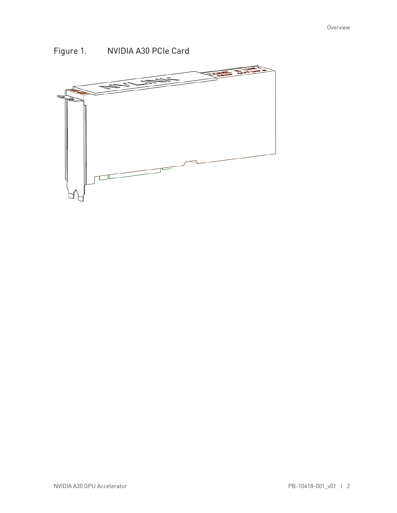

### <span id="page-5-0"></span>Figure 1. NVIDIA A30 PCIe Card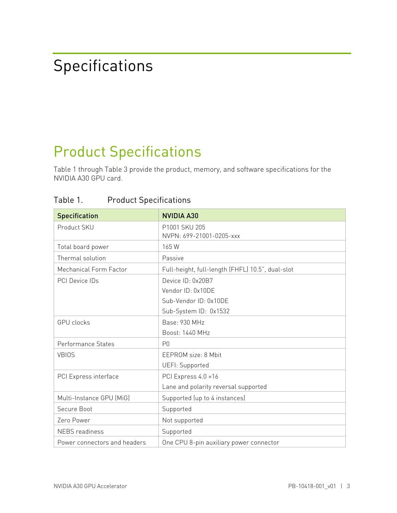# <span id="page-6-0"></span>Specifications

## <span id="page-6-1"></span>Product Specifications

[Table 1](#page-6-2) through [Table 3](#page-7-1) provide the product, memory, and software specifications for the NVIDIA A30 GPU card.

| <b>Specification</b>         | <b>NVIDIA A30</b>                                |
|------------------------------|--------------------------------------------------|
| Product SKU                  | P1001 SKU 205                                    |
|                              | NVPN: 699-21001-0205-xxx                         |
| Total board power            | 165W                                             |
| Thermal solution             | Passive                                          |
| Mechanical Form Factor       | Full-height, full-length (FHFL) 10.5", dual-slot |
| PCI Device IDs               | Device ID: 0x20B7                                |
|                              | Vendor ID: 0x10DE                                |
|                              | Sub-Vendor ID: 0x10DE                            |
|                              | Sub-System ID: 0x1532                            |
| <b>GPU</b> clocks            | Base: 930 MHz                                    |
|                              | Boost: 1440 MHz                                  |
| Performance States           | P <sub>0</sub>                                   |
| <b>VBIOS</b>                 | EEPROM size: 8 Mbit                              |
|                              | UEFI: Supported                                  |
| PCI Express interface        | PCI Express 4.0 ×16                              |
|                              | Lane and polarity reversal supported             |
| Multi-Instance GPU (MiG)     | Supported (up to 4 instances)                    |
| Secure Boot                  | Supported                                        |
| Zero Power                   | Not supported                                    |
| <b>NEBS</b> readiness        | Supported                                        |
| Power connectors and headers | One CPU 8-pin auxiliary power connector          |

<span id="page-6-2"></span>Table 1. Product Specifications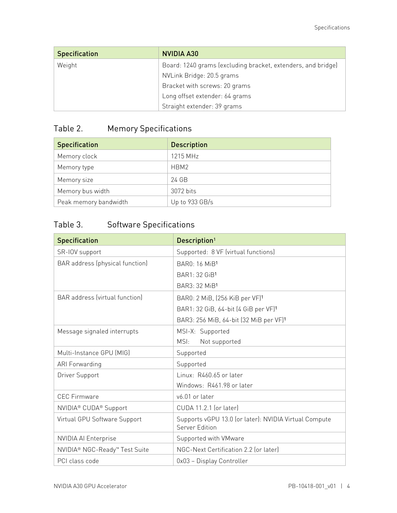| <b>Specification</b> | <b>NVIDIA A30</b>                                            |
|----------------------|--------------------------------------------------------------|
| Weight               | Board: 1240 grams (excluding bracket, extenders, and bridge) |
|                      | NVLink Bridge: 20.5 grams                                    |
|                      | Bracket with screws: 20 grams                                |
|                      | Long offset extender: 64 grams                               |
|                      | Straight extender: 39 grams                                  |

### <span id="page-7-0"></span>Table 2. Memory Specifications

| <b>Specification</b>  | <b>Description</b> |
|-----------------------|--------------------|
| Memory clock          | 1215 MHz           |
| Memory type           | HBM2               |
| Memory size           | 24 GB              |
| Memory bus width      | 3072 bits          |
| Peak memory bandwidth | Up to 933 GB/s     |

### <span id="page-7-1"></span>Table 3. Software Specifications

| <b>Specification</b>                          | Description <sup>1</sup>                                                |
|-----------------------------------------------|-------------------------------------------------------------------------|
| SR-IOV support                                | Supported: 8 VF (virtual functions)                                     |
| BAR address (physical function)               | <b>BAR0: 16 MiB1</b>                                                    |
|                                               | BAR1: 32 GiB1                                                           |
|                                               | BAR3: 32 MiB <sup>1</sup>                                               |
| BAR address (virtual function)                | BAR0: 2 MiB, (256 KiB per VF) <sup>1</sup>                              |
|                                               | BAR1: 32 GiB, 64-bit (4 GiB per VF) <sup>1</sup>                        |
|                                               | BAR3: 256 MiB, 64-bit (32 MiB per VF)1                                  |
| Message signaled interrupts                   | MSI-X: Supported                                                        |
|                                               | MSI:<br>Not supported                                                   |
| Multi-Instance GPU (MIG)                      | Supported                                                               |
| ARI Forwarding                                | Supported                                                               |
| Driver Support                                | Linux: R460.65 or later                                                 |
|                                               | Windows: R461.98 or later                                               |
| <b>CEC Firmware</b>                           | v6.01 or later                                                          |
| NVIDIA <sup>®</sup> CUDA <sup>®</sup> Support | CUDA 11.2.1 (or later)                                                  |
| Virtual GPU Software Support                  | Supports vGPU 13.0 (or later): NVIDIA Virtual Compute<br>Server Edition |
| <b>NVIDIA AI Enterprise</b>                   | Supported with VMware                                                   |
| NVIDIA® NGC-Ready <sup>™</sup> Test Suite     | NGC-Next Certification 2.2 (or later)                                   |
| PCI class code                                | 0x03 - Display Controller                                               |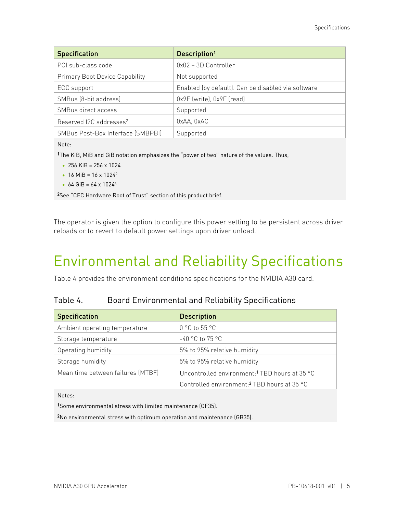| <b>Specification</b>                  | Description <sup>1</sup>                           |
|---------------------------------------|----------------------------------------------------|
| PCI sub-class code                    | 0x02 - 3D Controller                               |
| <b>Primary Boot Device Capability</b> | Not supported                                      |
| ECC support                           | Enabled (by default). Can be disabled via software |
| SMBus (8-bit address)                 | 0x9E (write), 0x9F (read)                          |
| SMBus direct access                   | Supported                                          |
| Reserved I2C addresses <sup>2</sup>   | 0xAA, 0xAC                                         |
| SMBus Post-Box Interface (SMBPBI)     | Supported                                          |

Note:

1The KiB, MiB and GiB notation emphasizes the "power of two" nature of the values. Thus,

- 256 KiB = 256 x 1024
- 16 MiB =  $16 \times 1024^2$
- 64 GiB = 64 x 1024<sup>3</sup>

2See ["CEC Hardware Root of Trust"](#page-10-4) section of this product brief.

The operator is given the option to configure this power setting to be persistent across driver reloads or to revert to default power settings upon driver unload.

## <span id="page-8-0"></span>Environmental and Reliability Specifications

<span id="page-8-1"></span>[Table 4](#page-8-1) provides the environment conditions specifications for the NVIDIA A30 card.

| Table 4. | <b>Board Environmental and Reliability Specifications</b> |  |
|----------|-----------------------------------------------------------|--|
|          |                                                           |  |

| <b>Specification</b>              | <b>Description</b>                                        |
|-----------------------------------|-----------------------------------------------------------|
| Ambient operating temperature     | $0^{\circ}$ C to 55 $^{\circ}$ C                          |
| Storage temperature               | $-40$ °C to 75 °C                                         |
| Operating humidity                | 5% to 95% relative humidity                               |
| Storage humidity                  | 5% to 95% relative humidity                               |
| Mean time between failures (MTBF) | Uncontrolled environment: <sup>1</sup> TBD hours at 35 °C |
|                                   | Controlled environment: <sup>2</sup> TBD hours at 35 °C   |

Notes:

1Some environmental stress with limited maintenance (GF35).

2No environmental stress with optimum operation and maintenance (GB35).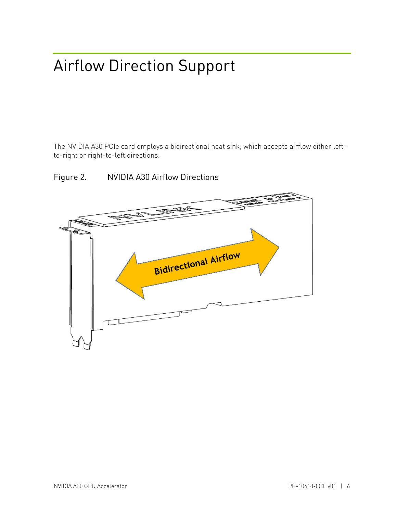# <span id="page-9-0"></span>Airflow Direction Support

The NVIDIA A30 PCIe card employs a bidirectional heat sink, which accepts airflow either leftto-right or right-to-left directions.

<span id="page-9-1"></span>

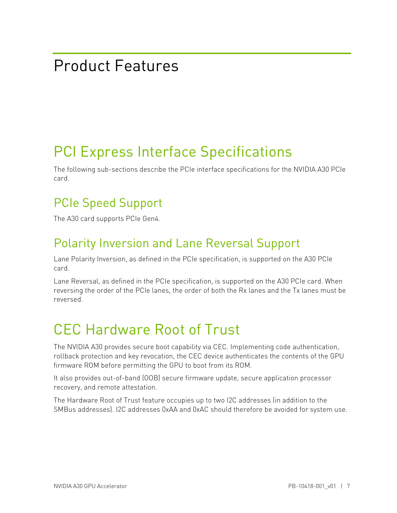## <span id="page-10-0"></span>Product Features

## <span id="page-10-1"></span>PCI Express Interface Specifications

The following sub-sections describe the PCIe interface specifications for the NVIDIA A30 PCIe card.

### <span id="page-10-2"></span>PCIe Speed Support

<span id="page-10-3"></span>The A30 card supports PCIe Gen4.

### Polarity Inversion and Lane Reversal Support

Lane Polarity Inversion, as defined in the PCIe specification, is supported on the A30 PCIe card.

Lane Reversal, as defined in the PCIe specification, is supported on the A30 PCIe card. When reversing the order of the PCIe lanes, the order of both the Rx lanes and the Tx lanes must be reversed.

## <span id="page-10-4"></span>CEC Hardware Root of Trust

The NVIDIA A30 provides secure boot capability via CEC. Implementing code authentication, rollback protection and key revocation, the CEC device authenticates the contents of the GPU firmware ROM before permitting the GPU to boot from its ROM.

It also provides out-of-band (OOB) secure firmware update, secure application processor recovery, and remote attestation.

The Hardware Root of Trust feature occupies up to two I2C addresses (in addition to the SMBus addresses). I2C addresses 0xAA and 0xAC should therefore be avoided for system use.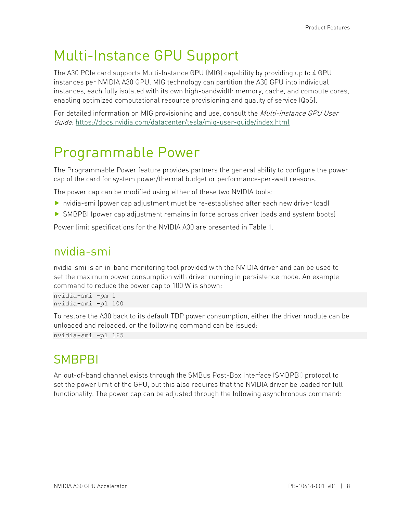### <span id="page-11-0"></span>Multi-Instance GPU Support

The A30 PCIe card supports Multi-Instance GPU (MIG) capability by providing up to 4 GPU instances per NVIDIA A30 GPU. MIG technology can partition the A30 GPU into individual instances, each fully isolated with its own high-bandwidth memory, cache, and compute cores, enabling optimized computational resource provisioning and quality of service (QoS).

For detailed information on MIG provisioning and use, consult the *Multi-Instance GPU User* Guide:<https://docs.nvidia.com/datacenter/tesla/mig-user-guide/index.html>

### <span id="page-11-1"></span>Programmable Power

The Programmable Power feature provides partners the general ability to configure the power cap of the card for system power/thermal budget or performance-per-watt reasons.

The power cap can be modified using either of these two NVIDIA tools:

- nvidia-smi (power cap adjustment must be re-established after each new driver load)
- SMBPBI (power cap adjustment remains in force across driver loads and system boots)

<span id="page-11-2"></span>Power limit specifications for the NVIDIA A30 are presented in [Table 1.](#page-6-2)

### nvidia-smi

nvidia-smi is an in-band monitoring tool provided with the NVIDIA driver and can be used to set the maximum power consumption with driver running in persistence mode. An example command to reduce the power cap to 100 W is shown:

nvidia-smi -pm 1 nvidia-smi -pl 100

To restore the A30 back to its default TDP power consumption, either the driver module can be unloaded and reloaded, or the following command can be issued:

<span id="page-11-3"></span>nvidia-smi -pl 165

### **SMBPBI**

An out-of-band channel exists through the SMBus Post-Box Interface (SMBPBI) protocol to set the power limit of the GPU, but this also requires that the NVIDIA driver be loaded for full functionality. The power cap can be adjusted through the following asynchronous command: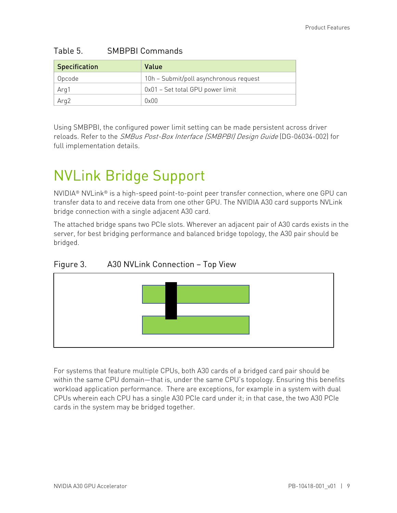| <b>Specification</b> | Value                                  |
|----------------------|----------------------------------------|
| Opcode               | 10h - Submit/poll asynchronous request |
| Arg1                 | 0x01 – Set total GPU power limit       |
| Arg2                 | 0x00                                   |

#### <span id="page-12-2"></span>Table 5. SMBPBI Commands

Using SMBPBI, the configured power limit setting can be made persistent across driver reloads. Refer to the SMBus Post-Box Interface (SMBPBI) Design Guide (DG-06034-002) for full implementation details.

## <span id="page-12-0"></span>NVLink Bridge Support

NVIDIA® NVLink® is a high-speed point-to-point peer transfer connection, where one GPU can transfer data to and receive data from one other GPU. The NVIDIA A30 card supports NVLink bridge connection with a single adjacent A30 card.

The attached bridge spans two PCIe slots. Wherever an adjacent pair of A30 cards exists in the server, for best bridging performance and balanced bridge topology, the A30 pair should be bridged.

### <span id="page-12-1"></span>Figure 3. A30 NVLink Connection – Top View



For systems that feature multiple CPUs, both A30 cards of a bridged card pair should be within the same CPU domain—that is, under the same CPU's topology. Ensuring this benefits workload application performance. There are exceptions, for example in a system with dual CPUs wherein each CPU has a single A30 PCIe card under it; in that case, the two A30 PCIe cards in the system may be bridged together.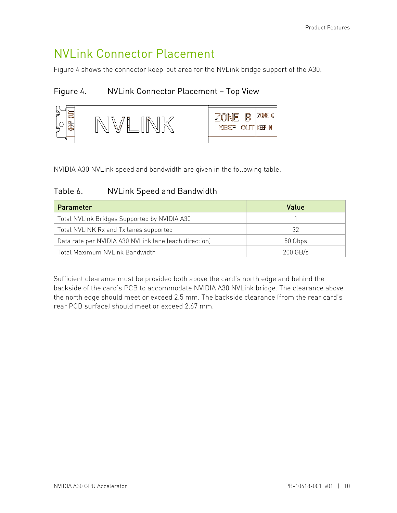### <span id="page-13-0"></span>NVLink Connector Placement

[Figure 4](#page-13-1) shows the connector keep-out area for the NVLink bridge support of the A30.

### <span id="page-13-1"></span>Figure 4. NVLink Connector Placement – Top View



<span id="page-13-2"></span>NVIDIA A30 NVLink speed and bandwidth are given in the following table.

#### Table 6. NVLink Speed and Bandwidth

| Parameter                                             | Value      |  |
|-------------------------------------------------------|------------|--|
| Total NVLink Bridges Supported by NVIDIA A30          |            |  |
| Total NVLINK Rx and Tx lanes supported                | 32         |  |
| Data rate per NVIDIA A30 NVLink lane (each direction) | 50 Gbps    |  |
| Total Maximum NVLink Bandwidth                        | $200$ GB/s |  |

Sufficient clearance must be provided both above the card's north edge and behind the backside of the card's PCB to accommodate NVIDIA A30 NVLink bridge. The clearance above the north edge should meet or exceed 2.5 mm. The backside clearance (from the rear card's rear PCB surface) should meet or exceed 2.67 mm.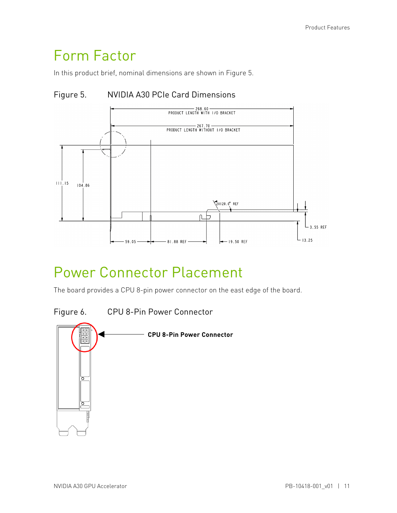### <span id="page-14-0"></span>Form Factor

<span id="page-14-2"></span>In this product brief, nominal dimensions are shown in [Figure 5.](#page-14-2)





### <span id="page-14-1"></span>Power Connector Placement

The board provides a CPU 8-pin power connector on the east edge of the board.

<span id="page-14-3"></span>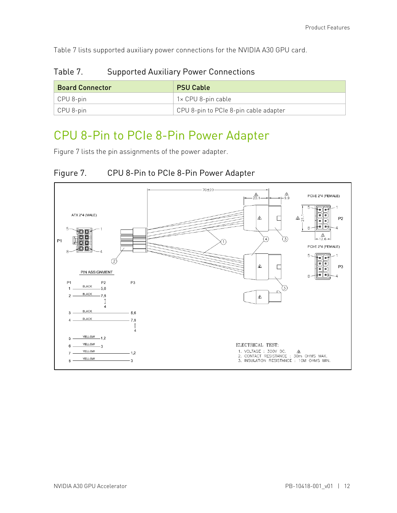<span id="page-15-2"></span>[Table 7](#page-15-2) lists supported auxiliary power connections for the NVIDIA A30 GPU card.

| <b>Board Connector</b> | <b>PSU Cable</b>                      |
|------------------------|---------------------------------------|
| $\vert$ CPU 8-pin      | 1× CPU 8-pin cable                    |
| $\vert$ CPU 8-pin      | CPU 8-pin to PCIe 8-pin cable adapter |

#### Table 7. Supported Auxiliary Power Connections

### <span id="page-15-0"></span>CPU 8-Pin to PCIe 8-Pin Power Adapter

<span id="page-15-1"></span>[Figure 7](#page-15-1) lists the pin assignments of the power adapter.



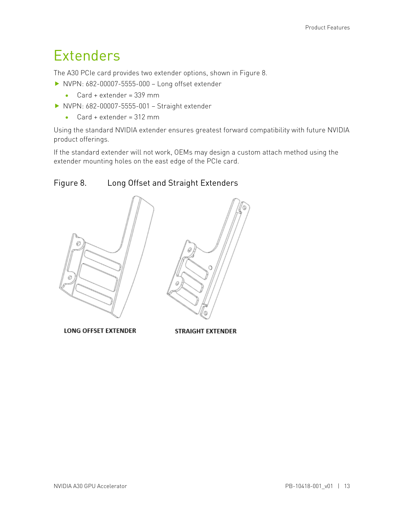### <span id="page-16-0"></span>Extenders

The A30 PCIe card provides two extender options, shown in [Figure 8.](#page-16-1)

- ▶ NVPN: 682-00007-5555-000 Long offset extender
	- Card + extender = 339 mm
- ▶ NVPN: 682-00007-5555-001 Straight extender
	- Card + extender = 312 mm

Using the standard NVIDIA extender ensures greatest forward compatibility with future NVIDIA product offerings.

If the standard extender will not work, OEMs may design a custom attach method using the extender mounting holes on the east edge of the PCIe card.

### <span id="page-16-1"></span>Figure 8. Long Offset and Straight Extenders



**LONG OFFSET EXTENDER** 

**STRAIGHT EXTENDER**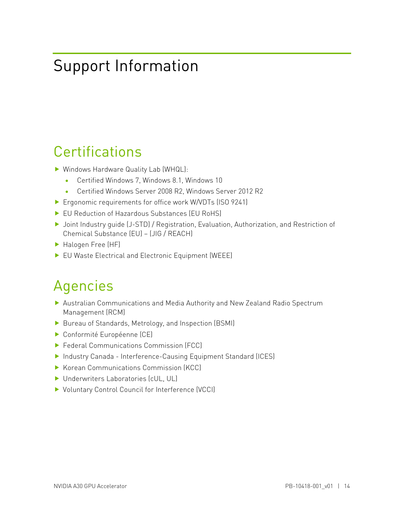## <span id="page-17-0"></span>Support Information

### <span id="page-17-1"></span>**Certifications**

- ▶ Windows Hardware Quality Lab (WHQL):
	- Certified Windows 7, Windows 8.1, Windows 10
	- Certified Windows Server 2008 R2, Windows Server 2012 R2
- ▶ Ergonomic requirements for office work W/VDTs (ISO 9241)
- ▶ EU Reduction of Hazardous Substances (EU RoHS)
- ▶ Joint Industry quide (J-STD) / Registration, Evaluation, Authorization, and Restriction of Chemical Substance (EU) – (JIG / REACH)
- Halogen Free (HF)
- <span id="page-17-2"></span>▶ EU Waste Electrical and Electronic Equipment (WEEE)

## Agencies

- Australian Communications and Media Authority and New Zealand Radio Spectrum Management (RCM)
- ▶ Bureau of Standards, Metrology, and Inspection (BSMI)
- Conformité Européenne (CE)
- ▶ Federal Communications Commission (FCC)
- ▶ Industry Canada Interference-Causing Equipment Standard (ICES)
- Korean Communications Commission (KCC)
- ▶ Underwriters Laboratories (cUL, UL)
- ▶ Voluntary Control Council for Interference (VCCI)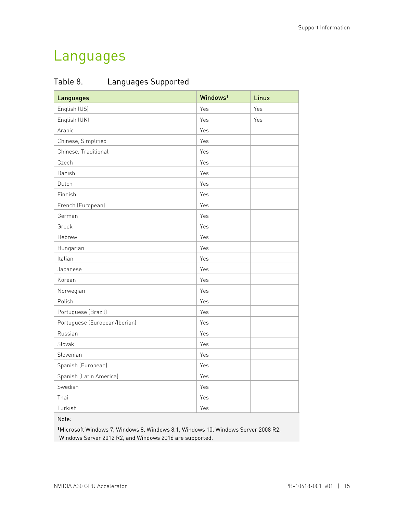### <span id="page-18-0"></span>Languages

<span id="page-18-1"></span>

| Table 8. | Languages Supported |
|----------|---------------------|
|          |                     |

| <b>Languages</b>              | Windows <sup>1</sup> | Linux |
|-------------------------------|----------------------|-------|
| English (US)                  | Yes                  | Yes   |
| English (UK)                  | Yes                  | Yes   |
| Arabic                        | Yes                  |       |
| Chinese, Simplified           | Yes                  |       |
| Chinese, Traditional          | Yes                  |       |
| Czech                         | Yes                  |       |
| Danish                        | Yes                  |       |
| Dutch                         | Yes                  |       |
| Finnish                       | Yes                  |       |
| French (European)             | Yes                  |       |
| German                        | Yes                  |       |
| Greek                         | Yes                  |       |
| Hebrew                        | Yes                  |       |
| Hungarian                     | Yes                  |       |
| Italian                       | Yes                  |       |
| Japanese                      | Yes                  |       |
| Korean                        | Yes                  |       |
| Norwegian                     | Yes                  |       |
| Polish                        | Yes                  |       |
| Portuguese (Brazil)           | Yes                  |       |
| Portuguese (European/Iberian) | Yes                  |       |
| Russian                       | Yes                  |       |
| Slovak                        | Yes                  |       |
| Slovenian                     | Yes                  |       |
| Spanish (European)            | Yes                  |       |
| Spanish (Latin America)       | Yes                  |       |
| Swedish                       | Yes                  |       |
| Thai                          | Yes                  |       |
| Turkish                       | Yes                  |       |

Note:

1Microsoft Windows 7, Windows 8, Windows 8.1, Windows 10, Windows Server 2008 R2, Windows Server 2012 R2, and Windows 2016 are supported.